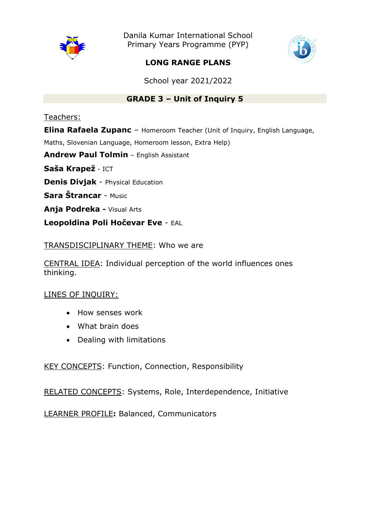

Danila Kumar International School Primary Years Programme (PYP)



## **LONG RANGE PLANS**

School year 2021/2022

## **GRADE 3 – Unit of Inquiry 5**

Teachers:

**Elina Rafaela Zupanc** – Homeroom Teacher (Unit of Inquiry, English Language,

Maths, Slovenian Language, Homeroom lesson, Extra Help)

**Andrew Paul Tolmin** – English Assistant

**Saša Krapež** - ICT

**Denis Divjak** - Physical Education

**Sara Štrancar** - Music

**Anja Podreka -** Visual Arts

**Leopoldina Poli Hočevar Eve** - EAL

## TRANSDISCIPLINARY THEME: Who we are

CENTRAL IDEA: Individual perception of the world influences ones thinking.

## LINES OF INQUIRY:

- How senses work
- What brain does
- Dealing with limitations

KEY CONCEPTS: Function, Connection, Responsibility

RELATED CONCEPTS: Systems, Role, Interdependence, Initiative

LEARNER PROFILE**:** Balanced, Communicators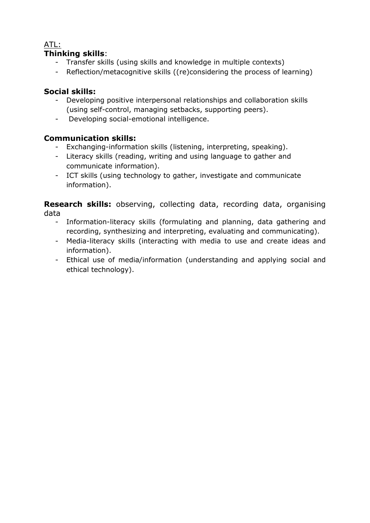## ATL:

## **Thinking skills**:

- Transfer skills (using skills and knowledge in multiple contexts)
- Reflection/metacognitive skills ((re)considering the process of learning)

## **Social skills:**

- Developing positive interpersonal relationships and collaboration skills (using self-control, managing setbacks, supporting peers).
- Developing social-emotional intelligence.

## **Communication skills:**

- Exchanging-information skills (listening, interpreting, speaking).
- Literacy skills (reading, writing and using language to gather and communicate information).
- ICT skills (using technology to gather, investigate and communicate information).

**Research skills:** observing, collecting data, recording data, organising data

- Information-literacy skills (formulating and planning, data gathering and recording, synthesizing and interpreting, evaluating and communicating).
- Media-literacy skills (interacting with media to use and create ideas and information).
- Ethical use of media/information (understanding and applying social and ethical technology).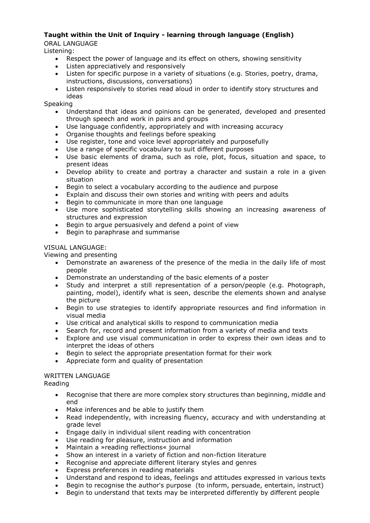#### **Taught within the Unit of Inquiry - learning through language (English)** ORAL LANGUAGE

Listening:

- Respect the power of language and its effect on others, showing sensitivity
- Listen appreciatively and responsively
- Listen for specific purpose in a variety of situations (e.g. Stories, poetry, drama, instructions, discussions, conversations)
- Listen responsively to stories read aloud in order to identify story structures and ideas

Speaking

- Understand that ideas and opinions can be generated, developed and presented through speech and work in pairs and groups
- Use language confidently, appropriately and with increasing accuracy
- Organise thoughts and feelings before speaking
- Use register, tone and voice level appropriately and purposefully
- Use a range of specific vocabulary to suit different purposes
- Use basic elements of drama, such as role, plot, focus, situation and space, to present ideas
- Develop ability to create and portray a character and sustain a role in a given situation
- Begin to select a vocabulary according to the audience and purpose
- Explain and discuss their own stories and writing with peers and adults
- Begin to communicate in more than one language
- Use more sophisticated storytelling skills showing an increasing awareness of structures and expression
- Begin to argue persuasively and defend a point of view
- Begin to paraphrase and summarise

#### VISUAL LANGUAGE:

Viewing and presenting

- Demonstrate an awareness of the presence of the media in the daily life of most people
- Demonstrate an understanding of the basic elements of a poster
- Study and interpret a still representation of a person/people (e.g. Photograph, painting, model), identify what is seen, describe the elements shown and analyse the picture
- Begin to use strategies to identify appropriate resources and find information in visual media
- Use critical and analytical skills to respond to communication media
- Search for, record and present information from a variety of media and texts
- Explore and use visual communication in order to express their own ideas and to interpret the ideas of others
- Begin to select the appropriate presentation format for their work
- Appreciate form and quality of presentation

#### WRITTEN LANGUAGE

Reading

- Recognise that there are more complex story structures than beginning, middle and end
- Make inferences and be able to justify them
- Read independently, with increasing fluency, accuracy and with understanding at grade level
- Engage daily in individual silent reading with concentration
- Use reading for pleasure, instruction and information
- Maintain a »reading reflections« journal
- Show an interest in a variety of fiction and non-fiction literature
- Recognise and appreciate different literary styles and genres
- Express preferences in reading materials
- Understand and respond to ideas, feelings and attitudes expressed in various texts
- Begin to recognise the author's purpose (to inform, persuade, entertain, instruct)
- Begin to understand that texts may be interpreted differently by different people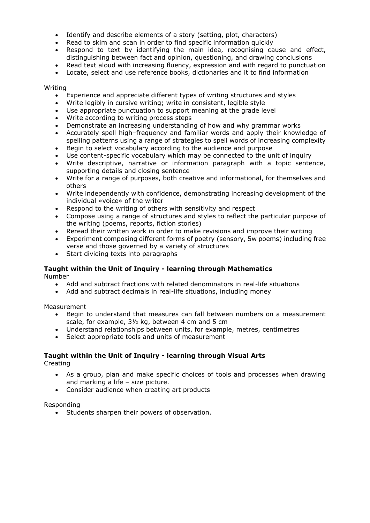- Identify and describe elements of a story (setting, plot, characters)
- Read to skim and scan in order to find specific information quickly
- Respond to text by identifying the main idea, recognising cause and effect, distinguishing between fact and opinion, questioning, and drawing conclusions
- Read text aloud with increasing fluency, expression and with regard to punctuation
- Locate, select and use reference books, dictionaries and it to find information

#### Writing

- Experience and appreciate different types of writing structures and styles
- Write legibly in cursive writing; write in consistent, legible style
- Use appropriate punctuation to support meaning at the grade level
- Write according to writing process steps
- Demonstrate an increasing understanding of how and why grammar works
- Accurately spell high–frequency and familiar words and apply their knowledge of spelling patterns using a range of strategies to spell words of increasing complexity
- Begin to select vocabulary according to the audience and purpose
- Use content-specific vocabulary which may be connected to the unit of inquiry
- Write descriptive, narrative or information paragraph with a topic sentence, supporting details and closing sentence
- Write for a range of purposes, both creative and informational, for themselves and others
- Write independently with confidence, demonstrating increasing development of the individual »voice« of the writer
- Respond to the writing of others with sensitivity and respect
- Compose using a range of structures and styles to reflect the particular purpose of the writing (poems, reports, fiction stories)
- Reread their written work in order to make revisions and improve their writing
- Experiment composing different forms of poetry (sensory, 5w poems) including free verse and those governed by a variety of structures
- Start dividing texts into paragraphs

#### **Taught within the Unit of Inquiry - learning through Mathematics**

Number

- Add and subtract fractions with related denominators in real-life situations
- Add and subtract decimals in real-life situations, including money

Measurement

- Begin to understand that measures can fall between numbers on a measurement scale, for example, 3½ kg, between 4 cm and 5 cm
- Understand relationships between units, for example, metres, centimetres
- Select appropriate tools and units of measurement

## **Taught within the Unit of Inquiry - learning through Visual Arts**

Creating

- As a group, plan and make specific choices of tools and processes when drawing and marking a life – size picture.
- Consider audience when creating art products

#### Responding

• Students sharpen their powers of observation.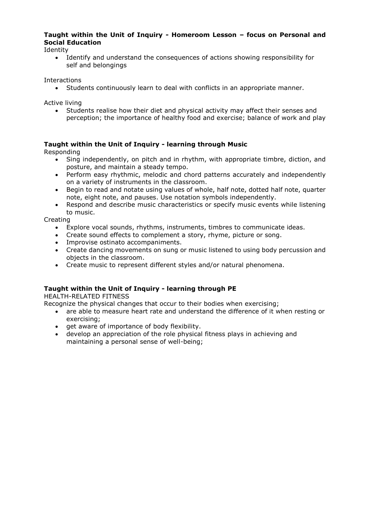#### **Taught within the Unit of Inquiry - Homeroom Lesson – focus on Personal and Social Education**

Identity

 Identify and understand the consequences of actions showing responsibility for self and belongings

Interactions

Students continuously learn to deal with conflicts in an appropriate manner.

Active living

 Students realise how their diet and physical activity may affect their senses and perception; the importance of healthy food and exercise; balance of work and play

#### **Taught within the Unit of Inquiry - learning through Music**

Responding

- Sing independently, on pitch and in rhythm, with appropriate timbre, diction, and posture, and maintain a steady tempo.
- Perform easy rhythmic, melodic and chord patterns accurately and independently on a variety of instruments in the classroom.
- Begin to read and notate using values of whole, half note, dotted half note, quarter note, eight note, and pauses. Use notation symbols independently.
- Respond and describe music characteristics or specify music events while listening to music.

Creating

- Explore vocal sounds, rhythms, instruments, timbres to communicate ideas.
- Create sound effects to complement a story, rhyme, picture or song.
- Improvise ostinato accompaniments.
- Create dancing movements on sung or music listened to using body percussion and objects in the classroom.
- Create music to represent different styles and/or natural phenomena.

#### **Taught within the Unit of Inquiry - learning through PE**

HEALTH-RELATED FITNESS

Recognize the physical changes that occur to their bodies when exercising;

- are able to measure heart rate and understand the difference of it when resting or exercising;
- **•** get aware of importance of body flexibility.
- develop an appreciation of the role physical fitness plays in achieving and maintaining a personal sense of well-being;